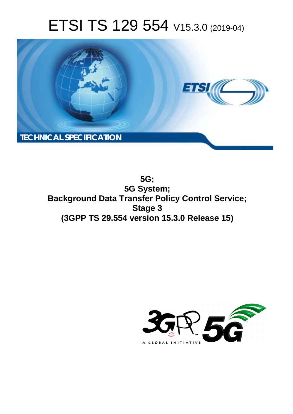# ETSI TS 129 554 V15.3.0 (2019-04)



**5G; 5G System; Background Data Transfer Policy Control Service; Stage 3 (3GPP TS 29.554 version 15.3.0 Release 15)** 

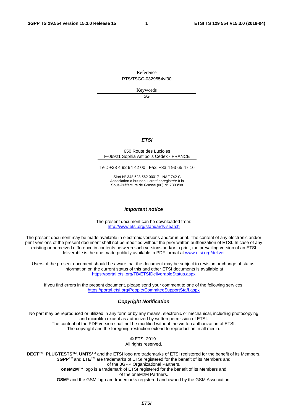Reference RTS/TSGC-0329554vf30

Keywords

5G

#### *ETSI*

#### 650 Route des Lucioles F-06921 Sophia Antipolis Cedex - FRANCE

Tel.: +33 4 92 94 42 00 Fax: +33 4 93 65 47 16

Siret N° 348 623 562 00017 - NAF 742 C Association à but non lucratif enregistrée à la Sous-Préfecture de Grasse (06) N° 7803/88

#### *Important notice*

The present document can be downloaded from: <http://www.etsi.org/standards-search>

The present document may be made available in electronic versions and/or in print. The content of any electronic and/or print versions of the present document shall not be modified without the prior written authorization of ETSI. In case of any existing or perceived difference in contents between such versions and/or in print, the prevailing version of an ETSI deliverable is the one made publicly available in PDF format at [www.etsi.org/deliver](http://www.etsi.org/deliver).

Users of the present document should be aware that the document may be subject to revision or change of status. Information on the current status of this and other ETSI documents is available at <https://portal.etsi.org/TB/ETSIDeliverableStatus.aspx>

If you find errors in the present document, please send your comment to one of the following services: <https://portal.etsi.org/People/CommiteeSupportStaff.aspx>

#### *Copyright Notification*

No part may be reproduced or utilized in any form or by any means, electronic or mechanical, including photocopying and microfilm except as authorized by written permission of ETSI. The content of the PDF version shall not be modified without the written authorization of ETSI. The copyright and the foregoing restriction extend to reproduction in all media.

> © ETSI 2019. All rights reserved.

**DECT**TM, **PLUGTESTS**TM, **UMTS**TM and the ETSI logo are trademarks of ETSI registered for the benefit of its Members. **3GPP**TM and **LTE**TM are trademarks of ETSI registered for the benefit of its Members and of the 3GPP Organizational Partners. **oneM2M™** logo is a trademark of ETSI registered for the benefit of its Members and of the oneM2M Partners. **GSM**® and the GSM logo are trademarks registered and owned by the GSM Association.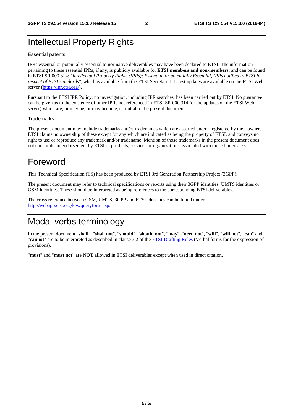# Intellectual Property Rights

#### Essential patents

IPRs essential or potentially essential to normative deliverables may have been declared to ETSI. The information pertaining to these essential IPRs, if any, is publicly available for **ETSI members and non-members**, and can be found in ETSI SR 000 314: *"Intellectual Property Rights (IPRs); Essential, or potentially Essential, IPRs notified to ETSI in respect of ETSI standards"*, which is available from the ETSI Secretariat. Latest updates are available on the ETSI Web server ([https://ipr.etsi.org/\)](https://ipr.etsi.org/).

Pursuant to the ETSI IPR Policy, no investigation, including IPR searches, has been carried out by ETSI. No guarantee can be given as to the existence of other IPRs not referenced in ETSI SR 000 314 (or the updates on the ETSI Web server) which are, or may be, or may become, essential to the present document.

#### **Trademarks**

The present document may include trademarks and/or tradenames which are asserted and/or registered by their owners. ETSI claims no ownership of these except for any which are indicated as being the property of ETSI, and conveys no right to use or reproduce any trademark and/or tradename. Mention of those trademarks in the present document does not constitute an endorsement by ETSI of products, services or organizations associated with those trademarks.

# Foreword

This Technical Specification (TS) has been produced by ETSI 3rd Generation Partnership Project (3GPP).

The present document may refer to technical specifications or reports using their 3GPP identities, UMTS identities or GSM identities. These should be interpreted as being references to the corresponding ETSI deliverables.

The cross reference between GSM, UMTS, 3GPP and ETSI identities can be found under [http://webapp.etsi.org/key/queryform.asp.](http://webapp.etsi.org/key/queryform.asp)

# Modal verbs terminology

In the present document "**shall**", "**shall not**", "**should**", "**should not**", "**may**", "**need not**", "**will**", "**will not**", "**can**" and "**cannot**" are to be interpreted as described in clause 3.2 of the [ETSI Drafting Rules](https://portal.etsi.org/Services/editHelp!/Howtostart/ETSIDraftingRules.aspx) (Verbal forms for the expression of provisions).

"**must**" and "**must not**" are **NOT** allowed in ETSI deliverables except when used in direct citation.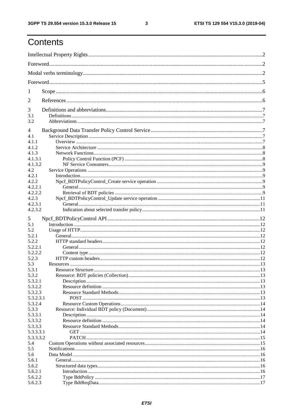$\mathbf{3}$ 

# Contents

| 1                |  |
|------------------|--|
| 2                |  |
| 3                |  |
| 3.1              |  |
| 3.2              |  |
| $\overline{4}$   |  |
| 4.1              |  |
| 4.1.1            |  |
| 4.1.2            |  |
| 4.1.3            |  |
| 4.1.3.1          |  |
| 4.1.3.2          |  |
| 4.2<br>4.2.1     |  |
| 4.2.2            |  |
| 4.2.2.1          |  |
| 4.2.2.2          |  |
| 4.2.3            |  |
| 4.2.3.1          |  |
| 4.2.3.2          |  |
|                  |  |
| 5                |  |
| 5.1              |  |
| 5.2              |  |
| 5.2.1            |  |
| 5.2.2<br>5.2.2.1 |  |
| 5.2.2.2          |  |
| 5.2.3            |  |
| 5.3              |  |
| 5.3.1            |  |
| 5.3.2            |  |
| 5.3.2.1          |  |
| 5.3.2.2          |  |
| 5.3.2.3          |  |
| 5.3.2.3.1        |  |
| 5.3.2.4          |  |
| 5.3.3            |  |
| 5.3.3.1          |  |
| 5.3.3.2          |  |
| 5.3.3.3          |  |
| 5.3.3.3.1        |  |
| 5.3.3.3.2        |  |
| 5.4              |  |
| 5.5              |  |
| 5.6              |  |
| 5.6.1            |  |
| 5.6.2            |  |
| 5.6.2.1          |  |
| 5.6.2.2          |  |
| 5.6.2.3          |  |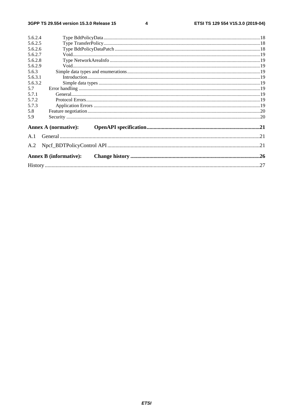$\overline{\mathbf{4}}$ 

|                  | <b>Annex B (informative):</b> |  |
|------------------|-------------------------------|--|
| A.2              |                               |  |
| A.1              |                               |  |
|                  | <b>Annex A (normative):</b>   |  |
| 5.9              |                               |  |
| 5.8              |                               |  |
| 5.7.3            |                               |  |
| 5.7.2            |                               |  |
| 5.7.1            |                               |  |
| 5.7              |                               |  |
| 5.6.3.2          |                               |  |
| 5.6.3.1          |                               |  |
| 5.6.2.9<br>5.6.3 |                               |  |
| 5.6.2.8          |                               |  |
| 5.6.2.7          |                               |  |
| 5.6.2.6          |                               |  |
| 5.6.2.5          |                               |  |
| 5.6.2.4          |                               |  |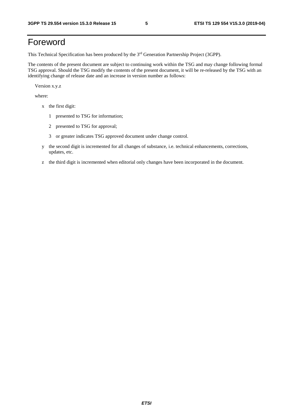# Foreword

This Technical Specification has been produced by the 3rd Generation Partnership Project (3GPP).

The contents of the present document are subject to continuing work within the TSG and may change following formal TSG approval. Should the TSG modify the contents of the present document, it will be re-released by the TSG with an identifying change of release date and an increase in version number as follows:

Version x.y.z

where:

- x the first digit:
	- 1 presented to TSG for information;
	- 2 presented to TSG for approval;
	- 3 or greater indicates TSG approved document under change control.
- y the second digit is incremented for all changes of substance, i.e. technical enhancements, corrections, updates, etc.
- z the third digit is incremented when editorial only changes have been incorporated in the document.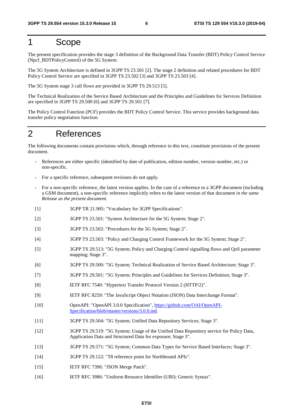# 1 Scope

The present specification provides the stage 3 definition of the Background Data Transfer (BDT) Policy Control Service (Npcf\_BDTPolicyControl) of the 5G System.

The 5G System Architecture is defined in 3GPP TS 23.501 [2]. The stage 2 definition and related procedures for BDT Policy Control Service are specified in 3GPP TS 23.502 [3] and 3GPP TS 23.503 [4].

The 5G System stage 3 call flows are provided in 3GPP TS 29.513 [5].

The Technical Realization of the Service Based Architecture and the Principles and Guidelines for Services Definition are specified in 3GPP TS 29.500 [6] and 3GPP TS 29.501 [7].

The Policy Control Function (PCF) provides the BDT Policy Control Service. This service provides background data transfer policy negotiation function.

# 2 References

The following documents contain provisions which, through reference in this text, constitute provisions of the present document.

- References are either specific (identified by date of publication, edition number, version number, etc.) or non-specific.
- For a specific reference, subsequent revisions do not apply.
- For a non-specific reference, the latest version applies. In the case of a reference to a 3GPP document (including a GSM document), a non-specific reference implicitly refers to the latest version of that document *in the same Release as the present document*.
- [1] 3GPP TR 21.905: "Vocabulary for 3GPP Specifications".
- [2] 3GPP TS 23.501: "System Architecture for the 5G System; Stage 2".
- [3] 3GPP TS 23.502: "Procedures for the 5G System; Stage 2".
- [4] 3GPP TS 23.503: "Policy and Charging Control Framework for the 5G System; Stage 2".
- [5] 3GPP TS 29.513: "5G System; Policy and Charging Control signalling flows and QoS parameter mapping; Stage 3".
- [6] 3GPP TS 29.500: "5G System; Technical Realization of Service Based Architecture; Stage 3".
- [7] 3GPP TS 29.501: "5G System; Principles and Guidelines for Services Definition; Stage 3".
- [8] IETF RFC 7540: "Hypertext Transfer Protocol Version 2 (HTTP/2)".
- [9] IETF RFC 8259: "The JavaScript Object Notation (JSON) Data Interchange Format".
- [10] OpenAPI: "OpenAPI 3.0.0 Specification", [https://github.com/OAI/OpenAPI](https://github.com/OAI/OpenAPI-Specification/blob/master/versions/3.0.0.md)-[Specification/blob/master/versions/3.0.0.md](https://github.com/OAI/OpenAPI-Specification/blob/master/versions/3.0.0.md).
- [11] 3GPP TS 29.504: "5G System; Unified Data Repository Services; Stage 3".
- [12] 3GPP TS 29.519: "5G System; Usage of the Unified Data Repository service for Policy Data, Application Data and Structured Data for exposure; Stage 3".
- [13] 3GPP TS 29.571: "5G System; Common Data Types for Service Based Interfaces; Stage 3".
- [14] 3GPP TS 29.122: "T8 reference point for Northbound APIs".
- [15] IETF RFC 7396: "JSON Merge Patch".
- [16] IETF RFC 3986: "Uniform Resource Identifier (URI): Generic Syntax".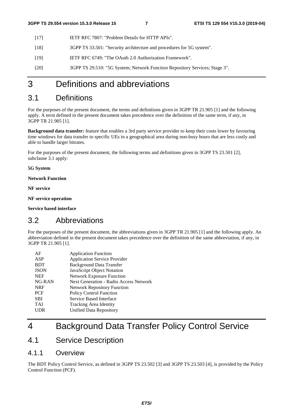- [17] IETF RFC 7807: "Problem Details for HTTP APIs".
- [18] 3GPP TS 33.501: "Security architecture and procedures for 5G system".
- [19] IETF RFC 6749: "The OAuth 2.0 Authorization Framework".
- [20] 3GPP TS 29.510: "5G System; Network Function Repository Services; Stage 3".

# 3 Definitions and abbreviations

### 3.1 Definitions

For the purposes of the present document, the terms and definitions given in 3GPP TR 21.905 [1] and the following apply. A term defined in the present document takes precedence over the definition of the same term, if any, in 3GPP TR 21.905 [1].

**Background data transfer:** feature that enables a 3rd party service provider to keep their costs lower by favouring time windows for data transfer to specific UEs in a geographical area during non-busy hours that are less costly and able to handle larger bitrates.

For the purposes of the present document, the following terms and definitions given in 3GPP TS 23.501 [2], subclause 3.1 apply:

**5G System** 

**Network Function** 

**NF service** 

**NF service operation** 

**Service based interface** 

### 3.2 Abbreviations

For the purposes of the present document, the abbreviations given in 3GPP TR 21.905 [1] and the following apply. An abbreviation defined in the present document takes precedence over the definition of the same abbreviation, if any, in 3GPP TR 21.905 [1].

| AF          | <b>Application Function</b>            |
|-------------|----------------------------------------|
| ASP         | <b>Application Service Provider</b>    |
| <b>BDT</b>  | <b>Background Data Transfer</b>        |
| <b>JSON</b> | JavaScript Object Notation             |
| <b>NEF</b>  | <b>Network Exposure Function</b>       |
| NG-RAN      | Next Generation - Radio Access Network |
| <b>NRF</b>  | <b>Network Repository Function</b>     |
| <b>PCF</b>  | <b>Policy Control Function</b>         |
| <b>SBI</b>  | Service Based Interface                |
| <b>TAI</b>  | Tracking Area Identity                 |
| UDR         | Unified Data Repository                |

# 4 Background Data Transfer Policy Control Service

### 4.1 Service Description

### 4.1.1 Overview

The BDT Policy Control Service, as defined in 3GPP TS 23.502 [3] and 3GPP TS 23.503 [4], is provided by the Policy Control Function (PCF).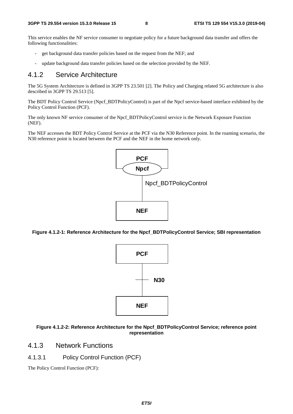This service enables the NF service consumer to negotiate policy for a future background data transfer and offers the following functionalities:

- get background data transfer policies based on the request from the NEF; and
- update background data transfer policies based on the selection provided by the NEF.

#### 4.1.2 Service Architecture

The 5G System Architecture is defined in 3GPP TS 23.501 [2]. The Policy and Charging related 5G architecture is also described in 3GPP TS 29.513 [5].

The BDT Policy Control Service (Npcf\_BDTPolicyControl) is part of the Npcf service-based interface exhibited by the Policy Control Function (PCF).

The only known NF service consumer of the Npcf\_BDTPolicyControl service is the Network Exposure Function (NEF).

The NEF accesses the BDT Policy Control Service at the PCF via the N30 Reference point. In the roaming scenario, the N30 reference point is located between the PCF and the NEF in the home network only.



**Figure 4.1.2-1: Reference Architecture for the Npcf\_BDTPolicyControl Service; SBI representation** 



#### **Figure 4.1.2-2: Reference Architecture for the Npcf\_BDTPolicyControl Service; reference point representation**

### 4.1.3 Network Functions

### 4.1.3.1 Policy Control Function (PCF)

The Policy Control Function (PCF):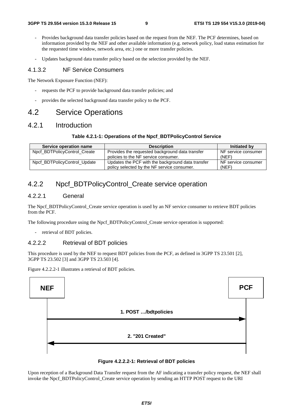- Provides background data transfer policies based on the request from the NEF. The PCF determines, based on information provided by the NEF and other available information (e.g. network policy, load status estimation for the requested time window, network area, etc.) one or more transfer policies.
- Updates background data transfer policy based on the selection provided by the NEF.

#### 4.1.3.2 NF Service Consumers

The Network Exposure Function (NEF):

- requests the PCF to provide background data transfer policies; and
- provides the selected background data transfer policy to the PCF.

### 4.2 Service Operations

### 4.2.1 Introduction

#### **Table 4.2.1-1: Operations of the Npcf\_BDTPolicyControl Service**

| Service operation name       | <b>Description</b>                                | Initiated by        |
|------------------------------|---------------------------------------------------|---------------------|
| Npcf BDTPolicyControl Create | Provides the requested background data transfer   | NF service consumer |
|                              | policies to the NF service consumer.              | (NEF)               |
| Npcf BDTPolicyControl Update | Updates the PCF with the background data transfer | NF service consumer |
|                              | policy selected by the NF service consumer.       | (NEF)               |

### 4.2.2 Npcf\_BDTPolicyControl\_Create service operation

#### 4.2.2.1 General

The Npcf\_BDTPolicyControl\_Create service operation is used by an NF service consumer to retrieve BDT policies from the PCF.

The following procedure using the Npcf\_BDTPolicyControl\_Create service operation is supported:

- retrieval of BDT policies.

#### 4.2.2.2 Retrieval of BDT policies

This procedure is used by the NEF to request BDT policies from the PCF, as defined in 3GPP TS 23.501 [2], 3GPP TS 23.502 [3] and 3GPP TS 23.503 [4].

Figure 4.2.2.2-1 illustrates a retrieval of BDT policies.





Upon reception of a Background Data Transfer request from the AF indicating a transfer policy request, the NEF shall invoke the Npcf\_BDTPolicyControl\_Create service operation by sending an HTTP POST request to the URI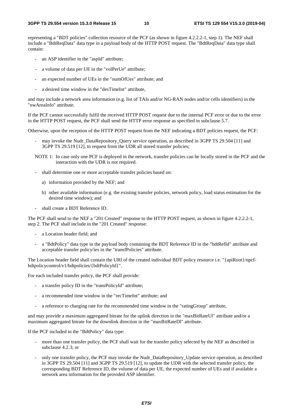representing a "BDT policies" collection resource of the PCF (as shown in figure 4.2.2.2-1, step 1). The NEF shall include a "BdtReqData" data type in a payload body of the HTTP POST request. The "BdtReqData" data type shall contain:

- an ASP identifier in the "aspId" attribute;
- a volume of data per UE in the "volPerUe" attribute;
- an expected number of UEs in the "numOfUes" attribute; and
- a desired time window in the "desTimeInt" attribute,

and may include a network area information (e.g. list of TAIs and/or NG-RAN nodes and/or cells identifiers) in the "nwAreaInfo" attribute.

If the PCF cannot successfully fulfil the received HTTP POST request due to the internal PCF error or due to the error in the HTTP POST request, the PCF shall send the HTTP error response as specified in subclause 5.7.

Otherwise, upon the reception of the HTTP POST request from the NEF indicating a BDT policies request, the PCF:

may invoke the Nudr\_DataRepository\_Query service operation, as described in 3GPP TS 29.504 [11] and 3GPP TS 29.519 [12], to request from the UDR all stored transfer policies;

NOTE 1: In case only one PCF is deployed in the network, transfer policies can be locally stored in the PCF and the interaction with the UDR is not required.

- shall determine one or more acceptable transfer policies based on:
	- a) information provided by the NEF; and
	- b) other available information (e.g. the existing transfer policies, network policy, load status estimation for the desired time window); and
- shall create a BDT Reference ID.

The PCF shall send to the NEF a "201 Created" response to the HTTP POST request, as shown in figure 4.2.2.2-1, step 2. The PCF shall include in the "201 Created" response:

- a Location header field; and
- a "BdtPolicy" data type in the payload body containing the BDT Reference ID in the "bdtRefId" attribute and acceptable transfer policy/ies in the "transfPolicies" attribute.

The Location header field shall contain the URI of the created individual BDT policy resource i.e. "{apiRoot}/npcfbdtpolicycontrol/v1/bdtpolicies/{bdtPolicyId}".

For each included transfer policy, the PCF shall provide:

- a transfer policy ID in the "transPolicyId" attribute;
- a recommended time window in the "recTimeInt" attribute; and
- a reference to charging rate for the recommended time window in the "ratingGroup" attribute,

and may provide a maximum aggregated bitrate for the uplink direction in the "maxBitRateUl" attribute and/or a maximum aggregated bitrate for the downlink direction in the "maxBitRateDl" attribute.

If the PCF included in the "BdtPolicy" data type:

- more than one transfer policy, the PCF shall wait for the transfer policy selected by the NEF as described in subclause 4.2.3; or
- only one transfer policy, the PCF may invoke the Nudr\_DataRepository\_Update service operation, as described in 3GPP TS 29.504 [11] and 3GPP TS 29.519 [12], to update the UDR with the selected transfer policy, the corresponding BDT Reference ID, the volume of data per UE, the expected number of UEs and if available a network area information for the provided ASP identifier.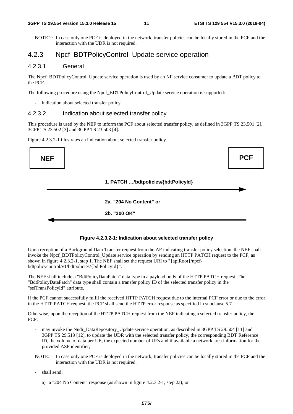NOTE 2: In case only one PCF is deployed in the network, transfer policies can be locally stored in the PCF and the interaction with the UDR is not required.

### 4.2.3 Npcf\_BDTPolicyControl\_Update service operation

#### 4.2.3.1 General

The Npcf\_BDTPolicyControl\_Update service operation is used by an NF service consumer to update a BDT policy to the PCF.

The following procedure using the Npcf\_BDTPolicyControl\_Update service operation is supported:

indication about selected transfer policy.

#### 4.2.3.2 Indication about selected transfer policy

This procedure is used by the NEF to inform the PCF about selected transfer policy, as defined in 3GPP TS 23.501 [2], 3GPP TS 23.502 [3] and 3GPP TS 23.503 [4].

Figure 4.2.3.2-1 illustrates an indication about selected transfer policy.



**Figure 4.2.3.2-1: Indication about selected transfer policy** 

Upon reception of a Background Data Transfer request from the AF indicating transfer policy selection, the NEF shall invoke the Npcf\_BDTPolicyControl\_Update service operation by sending an HTTP PATCH request to the PCF, as shown in figure 4.2.3.2-1, step 1. The NEF shall set the request URI to "{apiRoot}/npcfbdtpolicycontrol/v1/bdtpolicies/{bdtPolicyId}".

The NEF shall include a "BdtPolicyDataPatch" data type in a payload body of the HTTP PATCH request. The "BdtPolicyDataPatch" data type shall contain a transfer policy ID of the selected transfer policy in the "selTransPolicyId" attribute.

If the PCF cannot successfully fulfil the received HTTP PATCH request due to the internal PCF error or due to the error in the HTTP PATCH request, the PCF shall send the HTTP error response as specified in subclause 5.7.

Otherwise, upon the reception of the HTTP PATCH request from the NEF indicating a selected transfer policy, the PCF:

- may invoke the Nudr DataRepository Update service operation, as described in 3GPP TS 29.504 [11] and 3GPP TS 29.519 [12], to update the UDR with the selected transfer policy, the corresponding BDT Reference ID, the volume of data per UE, the expected number of UEs and if available a network area information for the provided ASP identifier;
- NOTE: In case only one PCF is deployed in the network, transfer policies can be locally stored in the PCF and the interaction with the UDR is not required.
- shall send:
	- a) a "204 No Content" response (as shown in figure 4.2.3.2-1, step 2a); or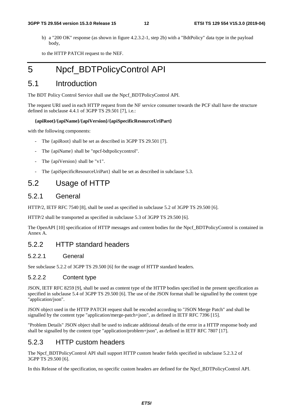b) a "200 OK" response (as shown in figure 4.2.3.2-1, step 2b) with a "BdtPolicy" data type in the payload body,

to the HTTP PATCH request to the NEF.

# 5 Npcf\_BDTPolicyControl API

### 5.1 Introduction

The BDT Policy Control Service shall use the Npcf\_BDTPolicyControl API.

The request URI used in each HTTP request from the NF service consumer towards the PCF shall have the structure defined in subclause 4.4.1 of 3GPP TS 29.501 [7], i.e.:

#### **{apiRoot}/{apiName}/{apiVersion}/{apiSpecificResourceUriPart}**

with the following components:

- The {apiRoot} shall be set as described in 3GPP TS 29.501 [7].
- The {apiName} shall be "npcf-bdtpolicycontrol".
- The {apiVersion} shall be "v1".
- The {apiSpecificResourceUriPart} shall be set as described in subclause 5.3.

### 5.2 Usage of HTTP

#### 5.2.1 General

HTTP/2, IETF RFC 7540 [8], shall be used as specified in subclause 5.2 of 3GPP TS 29.500 [6].

HTTP/2 shall be transported as specified in subclause 5.3 of 3GPP TS 29.500 [6].

The OpenAPI [10] specification of HTTP messages and content bodies for the Npcf\_BDTPolicyControl is contained in Annex A.

### 5.2.2 HTTP standard headers

#### 5.2.2.1 General

See subclause 5.2.2 of 3GPP TS 29.500 [6] for the usage of HTTP standard headers.

#### 5.2.2.2 Content type

JSON, IETF RFC 8259 [9], shall be used as content type of the HTTP bodies specified in the present specification as specified in subclause 5.4 of 3GPP TS 29.500 [6]. The use of the JSON format shall be signalled by the content type "application/json".

JSON object used in the HTTP PATCH request shall be encoded according to "JSON Merge Patch" and shall be signalled by the content type "application/merge-patch+json", as defined in IETF RFC 7396 [15].

"Problem Details" JSON object shall be used to indicate additional details of the error in a HTTP response body and shall be signalled by the content type "application/problem+json", as defined in IETF RFC 7807 [17].

### 5.2.3 HTTP custom headers

The Npcf\_BDTPolicyControl API shall support HTTP custom header fields specified in subclause 5.2.3.2 of 3GPP TS 29.500 [6].

In this Release of the specification, no specific custom headers are defined for the Npcf\_BDTPolicyControl API.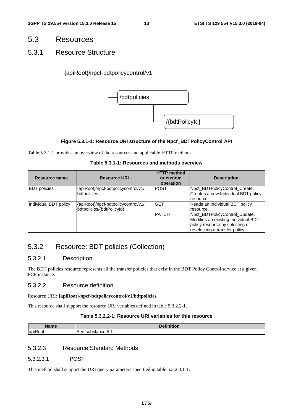### 5.3 Resources

### 5.3.1 Resource Structure

#### {apiRoot}/npcf-bdtpolicycontrol/v1



#### **Figure 5.3.1-1: Resource URI structure of the Npcf\_BDTPolicyControl API**

Table 5.3.1-1 provides an overview of the resources and applicable HTTP methods.

#### **Table 5.3.1-1: Resources and methods overview**

| Resource name         | <b>Resource URI</b>                                              | <b>HTTP</b> method<br>or custom<br>operation | <b>Description</b>                                                                                                                        |
|-----------------------|------------------------------------------------------------------|----------------------------------------------|-------------------------------------------------------------------------------------------------------------------------------------------|
| <b>BDT</b> policies   | {apiRoot}/npcf-bdtpolicycontrol/v1/<br>bdtpolicies               | <b>IPOST</b>                                 | Npcf_BDTPolicyControl_Create.<br>Creates a new Individual BDT policy<br>resource.                                                         |
| Individual BDT policy | {apiRoot}/npcf-bdtpolicycontrol/v1/<br>bdtpolicies/{bdtPolicyId} | <b>GET</b>                                   | Reads an Individual BDT policy<br>resource.                                                                                               |
|                       |                                                                  | <b>PATCH</b>                                 | Npcf BDTPolicyControl Update.<br>Modifies an existing Individual BDT<br>policy resource by selecting or<br>reselecting a transfer policy. |

### 5.3.2 Resource: BDT policies (Collection)

#### 5.3.2.1 Description

The BDT policies resource represents all the transfer policies that exist in the BDT Policy Control service at a given PCF instance.

#### 5.3.2.2 Resource definition

Resource URI: **{apiRoot}/npcf-bdtpolicycontrol/v1/bdtpolicies**

This resource shall support the resource URI variables defined in table 5.3.2.2-1.

#### **Table 5.3.2.2-1: Resource URI variables for this resource**

| Nama                         | $\mathbf{z}$                                          |  |  |  |  |  |
|------------------------------|-------------------------------------------------------|--|--|--|--|--|
|                              | --                                                    |  |  |  |  |  |
| $\cdot$ $-$<br>lapiR<br>oot? | use<br>See.<br>.<br>$\mathbf{u}$ . I<br>$\sim$ $\sim$ |  |  |  |  |  |

### 5.3.2.3 Resource Standard Methods

5.3.2.3.1 POST

This method shall support the URI query parameters specified in table 5.3.2.3.1-1.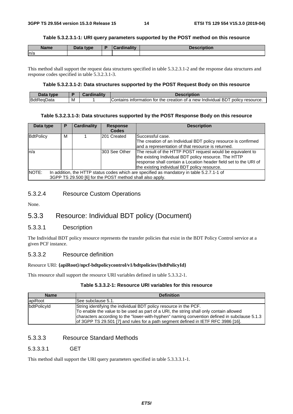#### **Table 5.3.2.3.1-1: URI query parameters supported by the POST method on this resource**

| <b>Name</b> | Data type | D | Cardinality | <b>Dooguintinu</b><br>uvn |
|-------------|-----------|---|-------------|---------------------------|
| n/a         |           |   |             |                           |

This method shall support the request data structures specified in table 5.3.2.3.1-2 and the response data structures and response codes specified in table 5.3.2.3.1-3.

#### **Table 5.3.2.3.1-2: Data structures supported by the POST Request Body on this resource**

| $-1-$      |   | <br>                                                                                                     |
|------------|---|----------------------------------------------------------------------------------------------------------|
| <b>Bdt</b> | M | policy<br>creation<br>resource.<br>tor<br>lContains<br>the<br>of a new Individual<br>ВD<br>ormation<br>m |

#### **Table 5.3.2.3.1-3: Data structures supported by the POST Response Body on this resource**

| Data type | P                                                                                                                                                     | <b>Cardinality</b> | <b>Response</b><br><b>Codes</b> | <b>Description</b>                                                                                                                                                                                                                      |  |  |
|-----------|-------------------------------------------------------------------------------------------------------------------------------------------------------|--------------------|---------------------------------|-----------------------------------------------------------------------------------------------------------------------------------------------------------------------------------------------------------------------------------------|--|--|
| BdtPolicy | м                                                                                                                                                     |                    | 201 Created                     | Successful case.<br>The creation of an Individual BDT policy resource is confirmed<br>and a representation of that resource is returned.                                                                                                |  |  |
| ln/a      |                                                                                                                                                       |                    | 303 See Other                   | The result of the HTTP POST request would be equivalent to<br>the existing Individual BDT policy resource. The HTTP<br>response shall contain a Location header field set to the URI of<br>the existing individual BDT policy resource. |  |  |
| NOTE:     | In addition, the HTTP status codes which are specified as mandatory in table 5.2.7.1-1 of<br>3GPP TS 29.500 [6] for the POST method shall also apply. |                    |                                 |                                                                                                                                                                                                                                         |  |  |

#### 5.3.2.4 Resource Custom Operations

None.

### 5.3.3 Resource: Individual BDT policy (Document)

#### 5.3.3.1 Description

The Individual BDT policy resource represents the transfer policies that exist in the BDT Policy Control service at a given PCF instance.

#### 5.3.3.2 Resource definition

#### Resource URI: **{apiRoot}/npcf-bdtpolicycontrol/v1/bdtpolicies/{bdtPolicyId}**

This resource shall support the resource URI variables defined in table 5.3.3.2-1.

#### **Table 5.3.3.2-1: Resource URI variables for this resource**

| <b>Name</b>        | <b>Definition</b>                                                                                                                                                                                                                                                                                                                                |
|--------------------|--------------------------------------------------------------------------------------------------------------------------------------------------------------------------------------------------------------------------------------------------------------------------------------------------------------------------------------------------|
| apiRoot            | See subclause 5.1.                                                                                                                                                                                                                                                                                                                               |
| <b>bdtPolicvId</b> | String identifying the individual BDT policy resource in the PCF.<br>To enable the value to be used as part of a URI, the string shall only contain allowed<br>characters according to the "lower-with-hyphen" naming convention defined in subclause 5.1.3<br>of 3GPP TS 29.501 [7] and rules for a path segment defined in IETF RFC 3986 [16]. |

### 5.3.3.3 Resource Standard Methods

#### 5.3.3.3.1 GET

This method shall support the URI query parameters specified in table 5.3.3.3.1-1.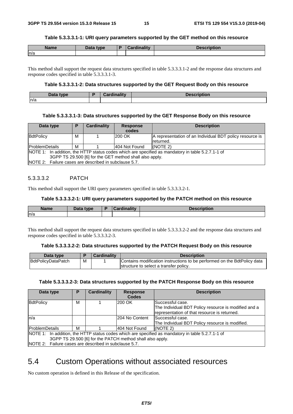#### **Table 5.3.3.3.1-1: URI query parameters supported by the GET method on this resource**

| <b>Name</b> | Data type | <b>Cardinality</b> | <b>Description</b> |
|-------------|-----------|--------------------|--------------------|
| ln/a        |           |                    |                    |

This method shall support the request data structures specified in table 5.3.3.3.1-2 and the response data structures and response codes specified in table 5.3.3.3.1-3.

#### **Table 5.3.3.3.1-2: Data structures supported by the GET Request Body on this resource**

| <b>Data type</b><br><b>Dala</b> |  | $1 - 11$<br><b>THE R. P.</b><br>$\sim$ | uon |  |
|---------------------------------|--|----------------------------------------|-----|--|
| n/a                             |  |                                        |     |  |

#### **Table 5.3.3.3.1-3: Data structures supported by the GET Response Body on this resource**

| Data type                                             | D                                                                                                 | <b>Cardinality</b> | <b>Response</b> | <b>Description</b>                                       |  |  |  |
|-------------------------------------------------------|---------------------------------------------------------------------------------------------------|--------------------|-----------------|----------------------------------------------------------|--|--|--|
|                                                       |                                                                                                   |                    | codes           |                                                          |  |  |  |
| BdtPolicy                                             | м                                                                                                 |                    | 200 OK          | A representation of an Individual BDT policy resource is |  |  |  |
|                                                       |                                                                                                   |                    |                 | returned.                                                |  |  |  |
| <b>ProblemDetails</b>                                 | м                                                                                                 |                    | l404 Not Found  | (NOTE 2)                                                 |  |  |  |
|                                                       | NOTE 1: In addition, the HTTP status codes which are specified as mandatory in table 5.2.7.1-1 of |                    |                 |                                                          |  |  |  |
|                                                       | 3GPP TS 29.500 [6] for the GET method shall also apply.                                           |                    |                 |                                                          |  |  |  |
| NOTE 2: Failure cases are described in subclause 5.7. |                                                                                                   |                    |                 |                                                          |  |  |  |

#### 5.3.3.3.2 PATCH

This method shall support the URI query parameters specified in table 5.3.3.3.2-1.

#### **Table 5.3.3.3.2-1: URI query parameters supported by the PATCH method on this resource**

| <b>Name</b> | <b>Data type</b><br>Dald | <b>Cardinality</b> | Description |
|-------------|--------------------------|--------------------|-------------|
| n/a         |                          |                    |             |

This method shall support the request data structures specified in table 5.3.3.3.2-2 and the response data structures and response codes specified in table 5.3.3.3.2-3.

#### **Table 5.3.3.3.2-2: Data structures supported by the PATCH Request Body on this resource**

| Data type                 |   | <b>Cardinality</b> | <b>Description</b>                                                       |
|---------------------------|---|--------------------|--------------------------------------------------------------------------|
| <b>BdtPolicyDataPatch</b> | M |                    | Contains modification instructions to be performed on the BdtPolicy data |
|                           |   |                    | structure to select a transfer policy.                                   |

#### **Table 5.3.3.3.2-3: Data structures supported by the PATCH Response Body on this resource**

| Data type                                             |                                                                                                   | <b>Cardinality</b> | <b>Response</b> | <b>Description</b>                                   |  |  |  |  |
|-------------------------------------------------------|---------------------------------------------------------------------------------------------------|--------------------|-----------------|------------------------------------------------------|--|--|--|--|
|                                                       |                                                                                                   |                    | <b>Codes</b>    |                                                      |  |  |  |  |
| BdtPolicy                                             | М                                                                                                 |                    | 200 OK          | Successful case.                                     |  |  |  |  |
|                                                       |                                                                                                   |                    |                 | The Individual BDT Policy resource is modified and a |  |  |  |  |
|                                                       |                                                                                                   |                    |                 | representation of that resource is returned.         |  |  |  |  |
| n/a                                                   |                                                                                                   |                    | I204 No Content | lSuccessful case.                                    |  |  |  |  |
|                                                       |                                                                                                   |                    |                 | The Individual BDT Policy resource is modified.      |  |  |  |  |
| <b>ProblemDetails</b>                                 | м                                                                                                 |                    | 404 Not Found   | (NOTE 2)                                             |  |  |  |  |
|                                                       | NOTE 1: In addition, the HTTP status codes which are specified as mandatory in table 5.2.7.1-1 of |                    |                 |                                                      |  |  |  |  |
|                                                       | 3GPP TS 29.500 [6] for the PATCH method shall also apply.                                         |                    |                 |                                                      |  |  |  |  |
| NOTE 2: Failure cases are described in subclause 5.7. |                                                                                                   |                    |                 |                                                      |  |  |  |  |

### 5.4 Custom Operations without associated resources

No custom operation is defined in this Release of the specification.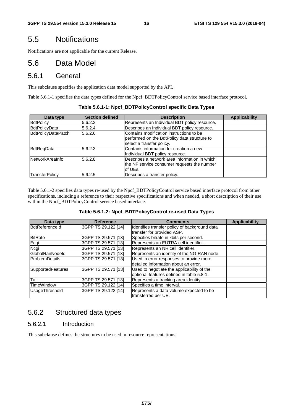### 5.5 Notifications

Notifications are not applicable for the current Release.

### 5.6 Data Model

### 5.6.1 General

This subclause specifies the application data model supported by the API.

Table 5.6.1-1 specifies the data types defined for the Npcf\_BDTPolicyControl service based interface protocol.

| Data type            | <b>Section defined</b> | <b>Description</b>                                                                                                    | <b>Applicability</b> |
|----------------------|------------------------|-----------------------------------------------------------------------------------------------------------------------|----------------------|
| BdtPolicy            | 5.6.2.2                | Represents an Individual BDT policy resource.                                                                         |                      |
| <b>BdtPolicyData</b> | 5.6.2.4                | Describes an Individual BDT policy resource.                                                                          |                      |
| BdtPolicyDataPatch   | 5.6.2.6                | Contains modification instructions to be<br>performed on the BdtPolicy data structure to<br>select a transfer policy. |                      |
| BdtRegData           | 5.6.2.3                | Contains information for creation a new<br>Individual BDT policy resource.                                            |                      |
| NetworkAreaInfo      | 5.6.2.8                | Describes a network area information in which<br>the NF service consumer requests the number<br>lof UEs.              |                      |
| TransferPolicy       | 5.6.2.5                | Describes a transfer policy.                                                                                          |                      |

**Table 5.6.1-1: Npcf\_BDTPolicyControl specific Data Types** 

Table 5.6.1-2 specifies data types re-used by the Npcf\_BDTPolicyControl service based interface protocol from other specifications, including a reference to their respective specifications and when needed, a short description of their use within the Npcf\_BDTPolicyControl service based interface.

| Data type                | <b>Reference</b>    | <b>Comments</b>                               | <b>Applicability</b> |
|--------------------------|---------------------|-----------------------------------------------|----------------------|
| BdtReferenceld           | 3GPP TS 29.122 [14] | Identifies transfer policy of background data |                      |
|                          |                     | transfer for provided ASP.                    |                      |
| <b>BitRate</b>           | 3GPP TS 29.571 [13] | Specifies bitrate in kbits per second.        |                      |
| Ecgi                     | 3GPP TS 29.571 [13] | Represents an EUTRA cell identifier.          |                      |
| Ncgi                     | 3GPP TS 29.571 [13] | Represents an NR cell identifier.             |                      |
| <b>GlobalRanNodeld</b>   | 3GPP TS 29.571 [13] | Represents an identity of the NG-RAN node.    |                      |
| <b>ProblemDetails</b>    | 3GPP TS 29.571 [13] | Used in error responses to provide more       |                      |
|                          |                     | detailed information about an error.          |                      |
| <b>SupportedFeatures</b> | 3GPP TS 29.571 [13] | Used to negotiate the applicability of the    |                      |
|                          |                     | optional features defined in table 5.8-1.     |                      |
| Tai                      | 3GPP TS 29.571 [13] | Represents a tracking area identity.          |                      |
| <b>TimeWindow</b>        | 3GPP TS 29.122 [14] | Specifies a time interval.                    |                      |
| <b>UsageThreshold</b>    | 3GPP TS 29.122 [14] | Represents a data volume expected to be       |                      |
|                          |                     | transferred per UE.                           |                      |

### 5.6.2 Structured data types

#### 5.6.2.1 Introduction

This subclause defines the structures to be used in resource representations.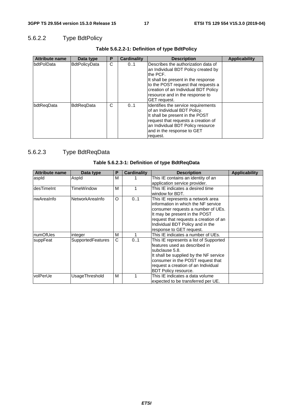### 5.6.2.2 Type BdtPolicy

| <b>Attribute name</b> | Data type            | Ρ | <b>Cardinality</b> | <b>Description</b>                                                                                                                                                                                                                                                      | <b>Applicability</b> |
|-----------------------|----------------------|---|--------------------|-------------------------------------------------------------------------------------------------------------------------------------------------------------------------------------------------------------------------------------------------------------------------|----------------------|
| <b>IbdtPolData</b>    | <b>BdtPolicyData</b> | C | 01                 | Describes the authorization data of<br>an Individual BDT Policy created by<br>the PCF.<br>It shall be present in the response<br>to the POST request that requests a<br>creation of an Individual BDT Policy<br>resource and in the response to<br><b>IGET</b> request. |                      |
| bdtRegData            | <b>BdtRegData</b>    | С | 01                 | Identifies the service requirements<br>of an Individual BDT Policy.<br>It shall be present in the POST<br>request that requests a creation of<br>an Individual BDT Policy resource<br>and in the response to GET<br>request.                                            |                      |

### **Table 5.6.2.2-1: Definition of type BdtPolicy**

### 5.6.2.3 Type BdtReqData

| <b>Attribute name</b> | Data type         | Ρ | Cardinality | <b>Description</b>                     | Applicability |
|-----------------------|-------------------|---|-------------|----------------------------------------|---------------|
| aspid                 | Aspld             | м |             | This IE contains an identity of an     |               |
|                       |                   |   |             | application service provider.          |               |
| ldesTimeInt           | TimeWindow        | м |             | This IE indicates a desired time       |               |
|                       |                   |   |             | window for BDT.                        |               |
| InwAreaInfo           | NetworkAreaInfo   | O | 01          | This IE represents a network area      |               |
|                       |                   |   |             | information in which the NF service    |               |
|                       |                   |   |             | consumer requests a number of UEs.     |               |
|                       |                   |   |             | It may be present in the POST          |               |
|                       |                   |   |             | request that requests a creation of an |               |
|                       |                   |   |             | Individual BDT Policy and in the       |               |
|                       |                   |   |             | response to GET request.               |               |
| InumOfUes             | integer           | M |             | This IE indicates a number of UEs.     |               |
| suppFeat              | SupportedFeatures | C | 0.1         | This IE represents a list of Supported |               |
|                       |                   |   |             | features used as described in          |               |
|                       |                   |   |             | subclause 5.8.                         |               |
|                       |                   |   |             | It shall be supplied by the NF service |               |
|                       |                   |   |             | consumer in the POST request that      |               |
|                       |                   |   |             | request a creation of an Individual    |               |
|                       |                   |   |             | BDT Policy resource.                   |               |
| <b>volPerUe</b>       | UsageThreshold    | м |             | This IE indicates a data volume        |               |
|                       |                   |   |             | expected to be transferred per UE.     |               |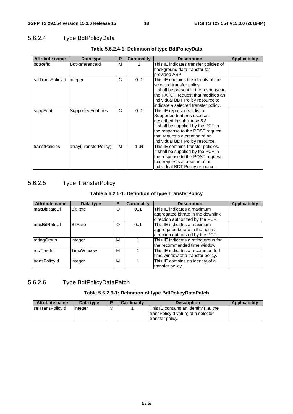### 5.6.2.4 Type BdtPolicyData

| <b>Attribute name</b> | Data type                | P | <b>Cardinality</b> | <b>Description</b>                                                                                                                                                                                                                       | <b>Applicability</b> |
|-----------------------|--------------------------|---|--------------------|------------------------------------------------------------------------------------------------------------------------------------------------------------------------------------------------------------------------------------------|----------------------|
| bdtRefld              | BdtReferenceld           | м |                    | This IE indicates transfer policies of<br>background data transfer for<br>provided ASP.                                                                                                                                                  |                      |
| selTransPolicyId      | integer                  | C | 01                 | This IE contains the identity of the<br>selected transfer policy.<br>It shall be present in the response to<br>the PATCH request that modifies an<br>Individual BDT Policy resource to<br>indicate a selected transfer policy.           |                      |
| suppFeat              | <b>SupportedFeatures</b> | C | 01                 | This IE represents a list of<br>Supported features used as<br>described in subclause 5.8.<br>It shall be supplied by the PCF in<br>the response to the POST request<br>that requests a creation of an<br>Individual BDT Policy resource. |                      |
| transfPolicies        | array(TransferPolicy)    | м | 1N                 | This IE contains transfer policies.<br>It shall be supplied by the PCF in<br>the response to the POST request<br>that requests a creation of an<br>Individual BDT Policy resource.                                                       |                      |

#### **Table 5.6.2.4-1: Definition of type BdtPolicyData**

### 5.6.2.5 Type TransferPolicy

#### **Table 5.6.2.5-1: Definition of type TransferPolicy**

| <b>Attribute name</b> | Data type         | Р | <b>Cardinality</b> | <b>Description</b>                   | <b>Applicability</b> |
|-----------------------|-------------------|---|--------------------|--------------------------------------|----------------------|
| ImaxBitRateDI         | <b>BitRate</b>    | O | 0.1                | This IE indicates a maximum          |                      |
|                       |                   |   |                    | aggregated bitrate in the downlink   |                      |
|                       |                   |   |                    | direction authorized by the PCF.     |                      |
| ImaxBitRateUl         | <b>BitRate</b>    | O | 0.1                | This IE indicates a maximum          |                      |
|                       |                   |   |                    | aggregated bitrate in the uplink     |                      |
|                       |                   |   |                    | direction authorized by the PCF.     |                      |
| ratingGroup           | integer           | М |                    | This IE indicates a rating group for |                      |
|                       |                   |   |                    | the recommended time window.         |                      |
| <b>recTimeInt</b>     | <b>TimeWindow</b> | М |                    | This IE indicates a recommended      |                      |
|                       |                   |   |                    | time window of a transfer policy.    |                      |
| transPolicyId         | integer           | M |                    | This IE contains an identity of a    |                      |
|                       |                   |   |                    | transfer policy.                     |                      |

### 5.6.2.6 Type BdtPolicyDataPatch

#### **Table 5.6.2.6-1: Definition of type BdtPolicyDataPatch**

| <b>Attribute name</b> | Data type |   | <b>Cardinality</b> | <b>Description</b>                                                                               | Applicability |
|-----------------------|-----------|---|--------------------|--------------------------------------------------------------------------------------------------|---------------|
| selTransPolicyId      | linteger  | M |                    | This IE contains an identity (i.e. the<br>transPolicyId value) of a selected<br>transfer policy. |               |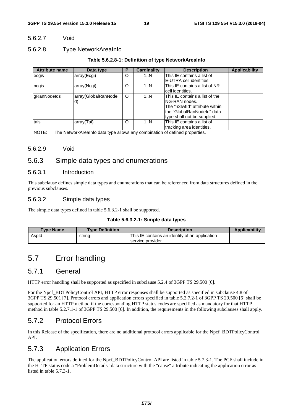#### 5.6.2.7 Void

#### 5.6.2.8 Type NetworkAreaInfo

#### **Table 5.6.2.8-1: Definition of type NetworkAreaInfo**

| <b>Attribute name</b>                                                                | Data type            | Р | <b>Cardinality</b> | <b>Description</b>             | <b>Applicability</b> |
|--------------------------------------------------------------------------------------|----------------------|---|--------------------|--------------------------------|----------------------|
| ecgis                                                                                | array(Ecgi)          | O | 1N                 | This IE contains a list of     |                      |
|                                                                                      |                      |   |                    | E-UTRA cell identities.        |                      |
| ncgis                                                                                | array(Ncgi)          | O | 1N                 | This IE contains a list of NR  |                      |
|                                                                                      |                      |   |                    | cell identities.               |                      |
| gRanNodelds                                                                          | array(GlobalRanNodel | O | 1N                 | This IE contains a list of the |                      |
|                                                                                      | d)                   |   |                    | NG-RAN nodes.                  |                      |
|                                                                                      |                      |   |                    | The "n3Iwfld" attribute within |                      |
|                                                                                      |                      |   |                    | lthe "GlobalRanNodeId" data    |                      |
|                                                                                      |                      |   |                    | type shall not be supplied.    |                      |
| tais                                                                                 | array(Tai)           | O | 1N                 | This IE contains a list of     |                      |
|                                                                                      |                      |   |                    | tracking area identities.      |                      |
| NOTE:<br>The NetworkArealnfo data type allows any combination of defined properties. |                      |   |                    |                                |                      |

#### 5.6.2.9 Void

### 5.6.3 Simple data types and enumerations

#### 5.6.3.1 Introduction

This subclause defines simple data types and enumerations that can be referenced from data structures defined in the previous subclauses.

#### 5.6.3.2 Simple data types

The simple data types defined in table 5.6.3.2-1 shall be supported.

#### **Table 5.6.3.2-1: Simple data types**

| <b>Type Name</b> | <b>Type Definition</b> | <b>Description</b>                             | <b>Applicability</b> |
|------------------|------------------------|------------------------------------------------|----------------------|
| Aspid            | string                 | This IE contains an identity of an application |                      |
|                  |                        | service provider.                              |                      |

# 5.7 Error handling

### 5.7.1 General

HTTP error handling shall be supported as specified in subclause 5.2.4 of 3GPP TS 29.500 [6].

For the Npcf\_BDTPolicyControl API, HTTP error responses shall be supported as specified in subclause 4.8 of 3GPP TS 29.501 [7]. Protocol errors and application errors specified in table 5.2.7.2-1 of 3GPP TS 29.500 [6] shall be supported for an HTTP method if the corresponding HTTP status codes are specified as mandatory for that HTTP method in table 5.2.7.1-1 of 3GPP TS 29.500 [6]. In addition, the requirements in the following subclauses shall apply.

### 5.7.2 Protocol Errors

In this Release of the specification, there are no additional protocol errors applicable for the Npcf\_BDTPolicyControl API.

### 5.7.3 Application Errors

The application errors defined for the Npcf\_BDTPolicyControl API are listed in table 5.7.3-1. The PCF shall include in the HTTP status code a "ProblemDetails" data structure with the "cause" attribute indicating the application error as listed in table 5.7.3-1.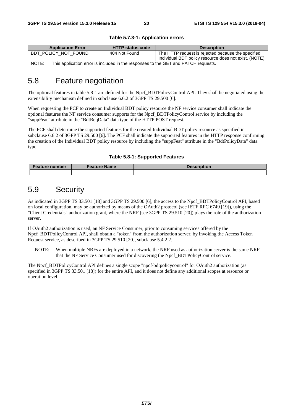| <b>Application Error</b>                                                                    | <b>HTTP status code</b> | <b>Description</b>                                                                                          |  |  |  |
|---------------------------------------------------------------------------------------------|-------------------------|-------------------------------------------------------------------------------------------------------------|--|--|--|
| BDT POLICY NOT FOUND                                                                        | 404 Not Found           | The HTTP request is rejected because the specified<br>Individual BDT policy resource does not exist. (NOTE) |  |  |  |
| NOTE:<br>This application error is included in the responses to the GET and PATCH requests. |                         |                                                                                                             |  |  |  |

#### **Table 5.7.3-1: Application errors**

### 5.8 Feature negotiation

The optional features in table 5.8-1 are defined for the Npcf\_BDTPolicyControl API. They shall be negotiated using the extensibility mechanism defined in subclause 6.6.2 of 3GPP TS 29.500 [6].

When requesting the PCF to create an Individual BDT policy resource the NF service consumer shall indicate the optional features the NF service consumer supports for the Npcf\_BDTPolicyControl service by including the "suppFeat" attribute in the "BdtReqData" data type of the HTTP POST request.

The PCF shall determine the supported features for the created Individual BDT policy resource as specified in subclause 6.6.2 of 3GPP TS 29.500 [6]. The PCF shall indicate the supported features in the HTTP response confirming the creation of the Individual BDT policy resource by including the "suppFeat" attribute in the "BdtPolicyData" data type.

| Table 5.8-1: Supported Features |  |  |
|---------------------------------|--|--|
|---------------------------------|--|--|

| <b>Feature number</b> | <b>Feature Name</b> | <b>Description</b> |
|-----------------------|---------------------|--------------------|
|                       |                     |                    |

### 5.9 Security

As indicated in 3GPP TS 33.501 [18] and 3GPP TS 29.500 [6], the access to the Npcf\_BDTPolicyControl API, based on local configuration, may be authorized by means of the OAuth2 protocol (see IETF RFC 6749 [19]), using the "Client Credentials" authorization grant, where the NRF (see 3GPP TS 29.510 [20]) plays the role of the authorization server.

If OAuth2 authorization is used, an NF Service Consumer, prior to consuming services offered by the Npcf\_BDTPolicyControl API, shall obtain a "token" from the authorization server, by invoking the Access Token Request service, as described in 3GPP TS 29.510 [20], subclause 5.4.2.2.

NOTE: When multiple NRFs are deployed in a network, the NRF used as authorization server is the same NRF that the NF Service Consumer used for discovering the Npcf\_BDTPolicyControl service.

The Npcf\_BDTPolicyControl API defines a single scope "npcf-bdtpolicycontrol" for OAuth2 authorization (as specified in 3GPP TS 33.501 [18]) for the entire API, and it does not define any additional scopes at resource or operation level.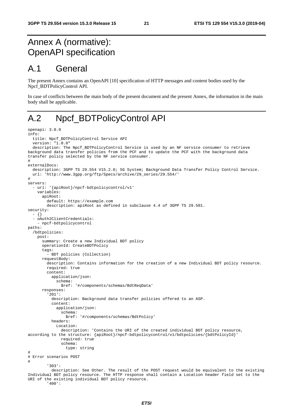# Annex A (normative): OpenAPI specification

# A.1 General

The present Annex contains an OpenAPI [10] specification of HTTP messages and content bodies used by the Npcf\_BDTPolicyControl API.

In case of conflicts between the main body of the present document and the present Annex, the information in the main body shall be applicable.

# A.2 Npcf\_BDTPolicyControl API

```
openapi: 3.0.0 
info: 
   title: Npcf_BDTPolicyControl Service API 
   version: "1.0.0" 
   description: The Npcf_BDTPolicyControl Service is used by an NF service consumer to retrieve 
background data transfer policies from the PCF and to update the PCF with the background data 
transfer policy selected by the NF service consumer. 
# 
externalDocs: 
   description: 3GPP TS 29.554 V15.2.0; 5G System; Background Data Transfer Policy Control Service. 
   url: 'http://www.3gpp.org/ftp/Specs/archive/29_series/29.554/' 
# 
servers: 
    - url: '{apiRoot}/npcf-bdtpolicycontrol/v1' 
     variables: 
       apiRoot: 
         default: https://example.com 
         description: apiRoot as defined in subclause 4.4 of 3GPP TS 29.501. 
security: 
   - {} 
   - oAuth2ClientCredentials: 
     - npcf-bdtpolicycontrol 
paths: 
   /bdtpolicies: 
    post: 
       summary: Create a new Individual BDT policy 
       operationId: CreateBDTPolicy 
       tags: 
         - BDT policies (Collection) 
       requestBody: 
         description: Contains information for the creation of a new Individual BDT policy resource. 
         required: true 
         content: 
           application/json: 
              schema: 
                $ref: '#/components/schemas/BdtReqData' 
       responses: 
          '201': 
           description: Background data transfer policies offered to an ASP. 
           content: 
              application/json: 
                schema: 
                  $ref: '#/components/schemas/BdtPolicy' 
           headers: 
              Location: 
                description: 'Contains the URI of the created individual BDT policy resource, 
according to the structure: {apiRoot}/npcf-bdtpolicycontrol/v1/bdtpolicies/{bdtPolicyId}' 
                required: true 
                schema: 
                  type: string 
# 
# Error scenarios POST 
# 
         '303': 
           description: See Other. The result of the POST request would be equivalent to the existing 
Individual BDT policy resource. The HTTP response shall contain a Location header field set to the 
URI of the existing individual BDT policy resource.
```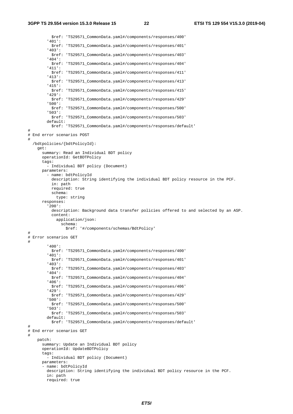**3GPP TS 29.554 version 15.3.0 Release 15 22 ETSI TS 129 554 V15.3.0 (2019-04)**

 \$ref: 'TS29571\_CommonData.yaml#/components/responses/400' '401': \$ref: 'TS29571\_CommonData.yaml#/components/responses/401' '403': \$ref: 'TS29571\_CommonData.yaml#/components/responses/403' '404': \$ref: 'TS29571\_CommonData.yaml#/components/responses/404' '411': \$ref: 'TS29571\_CommonData.yaml#/components/responses/411' '413': \$ref: 'TS29571\_CommonData.yaml#/components/responses/413' '415': \$ref: 'TS29571\_CommonData.yaml#/components/responses/415' '429': \$ref: 'TS29571\_CommonData.yaml#/components/responses/429' '500': \$ref: 'TS29571\_CommonData.yaml#/components/responses/500' '503': \$ref: 'TS29571\_CommonData.yaml#/components/responses/503' default: \$ref: 'TS29571\_CommonData.yaml#/components/responses/default' # # End error scenarios POST # /bdtpolicies/{bdtPolicyId}: get: summary: Read an Individual BDT policy operationId: GetBDTPolicy tags: - Individual BDT policy (Document) parameters: - name: bdtPolicyId description: String identifying the individual BDT policy resource in the PCF. in: path required: true schema: type: string responses: '200': description: Background data transfer policies offered to and selected by an ASP. content: application/json: schema: \$ref: '#/components/schemas/BdtPolicy' # # Error scenarios GET # '400': \$ref: 'TS29571\_CommonData.yaml#/components/responses/400' '401': \$ref: 'TS29571\_CommonData.yaml#/components/responses/401' '403': \$ref: 'TS29571\_CommonData.yaml#/components/responses/403' '404': \$ref: 'TS29571\_CommonData.yaml#/components/responses/404' '406': \$ref: 'TS29571\_CommonData.yaml#/components/responses/406' '429': \$ref: 'TS29571\_CommonData.yaml#/components/responses/429' '500': \$ref: 'TS29571\_CommonData.yaml#/components/responses/500' '503': \$ref: 'TS29571\_CommonData.yaml#/components/responses/503' default: \$ref: 'TS29571\_CommonData.yaml#/components/responses/default' # # End error scenarios GET # patch: summary: Update an Individual BDT policy operationId: UpdateBDTPolicy tags: - Individual BDT policy (Document) parameters: - name: bdtPolicyId description: String identifying the individual BDT policy resource in the PCF. in: path required: true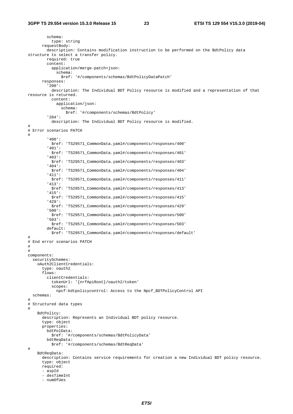```
 schema: 
           type: string 
       requestBody: 
         description: Contains modification instruction to be performed on the BdtPolicy data 
structure to select a transfer policy. 
         required: true 
         content: 
           application/merge-patch+json: 
              schema: 
                $ref: '#/components/schemas/BdtPolicyDataPatch' 
       responses: 
          '200': 
           description: The Individual BDT Policy resource is modified and a representation of that 
resource is returned. 
           content: 
             application/json: 
                schema: 
                  $ref: '#/components/schemas/BdtPolicy' 
         '204': 
           description: The Individual BDT Policy resource is modified. 
# 
# Error scenarios PATCH 
# 
         '400': 
           $ref: 'TS29571_CommonData.yaml#/components/responses/400' 
          '401': 
           $ref: 'TS29571_CommonData.yaml#/components/responses/401' 
         '403': 
           $ref: 'TS29571_CommonData.yaml#/components/responses/403' 
         '404': 
           $ref: 'TS29571_CommonData.yaml#/components/responses/404' 
         '411': 
           $ref: 'TS29571_CommonData.yaml#/components/responses/411' 
         '413': 
           $ref: 'TS29571_CommonData.yaml#/components/responses/413' 
          '415': 
           $ref: 'TS29571_CommonData.yaml#/components/responses/415' 
         '429': 
           $ref: 'TS29571_CommonData.yaml#/components/responses/429' 
         '500': 
           $ref: 'TS29571_CommonData.yaml#/components/responses/500' 
          '503': 
           $ref: 'TS29571_CommonData.yaml#/components/responses/503' 
         default: 
           $ref: 'TS29571_CommonData.yaml#/components/responses/default' 
# 
# End error scenarios PATCH 
# 
# 
components: 
   securitySchemes: 
    oAuth2ClientCredentials: 
       type: oauth2 
       flows: 
         clientCredentials: 
           tokenUrl: '{nrfApiRoot}/oauth2/token' 
           scopes: 
             npcf-bdtpolicycontrol: Access to the Npcf_BDTPolicyControl API 
   schemas: 
# 
# Structured data types 
# 
     BdtPolicy: 
       description: Represents an Individual BDT policy resource. 
       type: object 
       properties: 
         bdtPolData: 
           $ref: '#/components/schemas/BdtPolicyData' 
         bdtReqData: 
           $ref: '#/components/schemas/BdtReqData' 
# 
     BdtReqData: 
       description: Contains service requirements for creation a new Individual BDT policy resource. 
       type: object 
       required: 
       - aspId 
       - desTimeInt 
       - numOfUes
```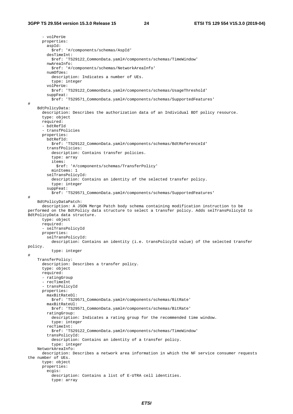- volPerUe properties: aspId: \$ref: '#/components/schemas/AspId' desTimeInt: \$ref: 'TS29122\_CommonData.yaml#/components/schemas/TimeWindow' nwAreaInfo: \$ref: '#/components/schemas/NetworkAreaInfo' numOfUes: description: Indicates a number of UEs. type: integer volPerUe: \$ref: 'TS29122\_CommonData.yaml#/components/schemas/UsageThreshold' suppFeat: \$ref: 'TS29571\_CommonData.yaml#/components/schemas/SupportedFeatures' # BdtPolicyData: description: Describes the authorization data of an Individual BDT policy resource. type: object required: - bdtRefId - transfPolicies properties: bdtRefId: \$ref: 'TS29122\_CommonData.yaml#/components/schemas/BdtReferenceId' transfPolicies: description: Contains transfer policies. type: array items: \$ref: '#/components/schemas/TransferPolicy' minItems: 1 selTransPolicyId: description: Contains an identity of the selected transfer policy. type: integer suppFeat: \$ref: 'TS29571\_CommonData.yaml#/components/schemas/SupportedFeatures' # BdtPolicyDataPatch: description: A JSON Merge Patch body schema containing modification instruction to be performed on the BdtPolicy data structure to select a transfer policy. Adds selTransPolicyId to BdtPolicyData data structure. type: object required: - selTransPolicyId properties: selTransPolicyId: description: Contains an identity (i.e. transPolicyId value) of the selected transfer policy. type: integer # TransferPolicy: description: Describes a transfer policy. type: object required: - ratingGroup - recTimeInt - transPolicyId properties: maxBitRateDl: \$ref: 'TS29571\_CommonData.yaml#/components/schemas/BitRate' maxBitRateUl: \$ref: 'TS29571\_CommonData.yaml#/components/schemas/BitRate' ratingGroup: description: Indicates a rating group for the recommended time window. type: integer recTimeInt: \$ref: 'TS29122\_CommonData.yaml#/components/schemas/TimeWindow' transPolicyId: description: Contains an identity of a transfer policy. type: integer NetworkAreaInfo: description: Describes a network area information in which the NF service consumer requests the number of UEs. type: object properties: ecgis: description: Contains a list of E-UTRA cell identities. type: array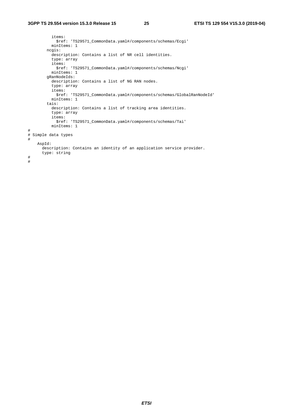```
 items: 
             $ref: 'TS29571_CommonData.yaml#/components/schemas/Ecgi' 
           minItems: 1 
         ncgis: 
           description: Contains a list of NR cell identities. 
           type: array 
           items: 
             $ref: 'TS29571_CommonData.yaml#/components/schemas/Ncgi' 
           minItems: 1 
         gRanNodeIds: 
           description: Contains a list of NG RAN nodes. 
           type: array 
           items: 
             $ref: 'TS29571_CommonData.yaml#/components/schemas/GlobalRanNodeId' 
           minItems: 1 
         tais: 
           description: Contains a list of tracking area identities. 
           type: array 
           items: 
             $ref: 'TS29571_CommonData.yaml#/components/schemas/Tai' 
           minItems: 1 
# 
# Simple data types 
# 
     AspId: 
       description: Contains an identity of an application service provider. 
       type: string 
# 
#
```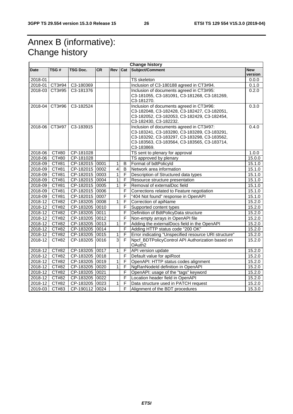# Annex B (informative): Change history

| <b>Change history</b> |                |                 |           |                |                |                                                                                                                                                                                                     |                       |
|-----------------------|----------------|-----------------|-----------|----------------|----------------|-----------------------------------------------------------------------------------------------------------------------------------------------------------------------------------------------------|-----------------------|
| <b>Date</b>           | TSG#           | <b>TSG Doc.</b> | <b>CR</b> | <b>Rev</b>     | Cat            | Subject/Comment                                                                                                                                                                                     | <b>New</b><br>version |
| 2018-01               |                |                 |           |                |                | <b>TS</b> skeleton                                                                                                                                                                                  | 0.0.0                 |
|                       | 2018-01 CT3#94 | C3-180369       |           |                |                | Inclusion of C3-180188 agreed in CT3#94.                                                                                                                                                            | 0.1.0                 |
|                       | 2018-03 CT3#95 | C3-181376       |           |                |                | Inclusion of documents agreed in CT3#95:<br>C3-181055, C3-181091, C3-181268, C3-181269,<br>C3-181270.                                                                                               | 0.2.0                 |
| 2018-04               | CT3#96         | C3-182524       |           |                |                | Inclusion of documents agreed in CT3#96:<br>C3-182048, C3-182428, C3-182427, C3-182051,<br>C3-182052, C3-182053, C3-182429, C3-182454,<br>C3-182430, C3-182232.                                     | 0.3.0                 |
| 2018-06               | CT3#97         | C3-183915       |           |                |                | Inclusion of documents agreed in CT3#97:<br>C3-183241, C3-183280, C3-183289, C3-183291,<br>C3-183292, C3-183297, C3-183298, C3-183562,<br>C3-183563, C3-183564, C3-183565, C3-183714,<br>C3-183869. | 0.4.0                 |
| 2018-06               | CT#80          | CP-181028       |           |                |                | TS sent to plenary for approval                                                                                                                                                                     | 1.0.0                 |
| 2018-06               | CT#80          | CP-181028       |           |                |                | TS approved by plenary                                                                                                                                                                              | 15.0.0                |
| 2018-09               | CT#81          | CP-182015 0001  |           | $\mathbf{1}$   | B              | Format of bdtPolicyId                                                                                                                                                                               | 15.1.0                |
| 2018-09               | CT#81          | CP-182015 0002  |           | $\overline{4}$ | B              | Network area information                                                                                                                                                                            | 15.1.0                |
| 2018-09               | CT#81          | CP-182015 0003  |           | $\mathbf{1}$   | F              | Description of Structured data types                                                                                                                                                                | 15.1.0                |
| 2018-09               | CT#81          | CP-182015 0004  |           | 1              | F              | Resource structure presentation                                                                                                                                                                     | 15.1.0                |
| 2018-09               | CT#81          | CP-182015 0005  |           | $\mathbf{1}$   | F              | Removal of externalDoc field                                                                                                                                                                        | 15.1.0                |
| 2018-09               | CT#81          | CP-182015 0006  |           |                | F              | Corrections related to Feature negotiation                                                                                                                                                          | 15.1.0                |
| 2018-09               | CT#81          | CP-182015 0007  |           |                | F              | "404 Not found" response in OpenAPI                                                                                                                                                                 | 15.1.0                |
| $2018 - 12$           | CT#82          | CP-183205 0008  |           | $\mathbf{1}$   | F              | Correction of apiName                                                                                                                                                                               | 15.2.0                |
| 2018-12               | CT#82          | CP-183205 0010  |           |                | F              | Supported content types                                                                                                                                                                             | 15.2.0                |
| 2018-12               | CT#82          | CP-183205 0011  |           |                | F              | Definition of BdtPolicyData structure                                                                                                                                                               | 15.2.0                |
| 2018-12               | CT#82          | CP-183205 0012  |           |                | F              | Non-empty arrays in OpenAPI file                                                                                                                                                                    | 15.2.0                |
| $2018 - 12$           | CT#82          | CP-183205 0013  |           | $\overline{1}$ | F              | Adding the externalDocs field in the OpenAPI                                                                                                                                                        | 15.2.0                |
| 2018-12               | CT#82          | CP-183205 0014  |           |                | F              | Adding HTTP status code "200 OK"                                                                                                                                                                    | 15.2.0                |
| 2018-12               | CT#82          | CP-183205 0015  |           | $\mathbf{1}$   | F              | Error indicating "Unspecified resource URI structure"                                                                                                                                               | 15.2.0                |
| 2018-12               | CT#82          | CP-183205       | 0016      | $\overline{3}$ | $\overline{F}$ | Npcf_BDTPolicyControl API Authorization based on<br>OAuth2                                                                                                                                          | 15.2.0                |
| 2018-12               | CT#82          | CP-183205 0017  |           | $\mathbf{1}$   | F              | API version update                                                                                                                                                                                  | 15.2.0                |
| 2018-12               | CT#82          | CP-183205 0018  |           |                | F              | Default value for apiRoot                                                                                                                                                                           | 15.2.0                |
| 2018-12               | CT#82          | CP-183205 0019  |           | 1              | F              | OpenAPI: HTTP status codes alignment                                                                                                                                                                | 15.2.0                |
| $2018 - 12$           | CT#82          | CP-183205 0020  |           | $\mathbf{1}$   | $\mathsf F$    | NgRanNodeld definition in OpenAPI                                                                                                                                                                   | 15.2.0                |
| $2018 - 12$           | CT#82          | CP-183205 0021  |           |                | F              | OpenAPI: usage of the "tags" keyword                                                                                                                                                                | 15.2.0                |
| $2018 - 12$           | CT#82          | CP-183205 0022  |           |                | F              | Location header field in OpenAPI                                                                                                                                                                    | 15.2.0                |
| 2018-12               | CT#82          | CP-183205 0023  |           | 1              | F              | Data structure used in PATCH request                                                                                                                                                                | 15.2.0                |
| 2019-03               | CT#83          | CP-190112 0024  |           |                | F              | Alignment of the BDT procedures                                                                                                                                                                     | 15.3.0                |